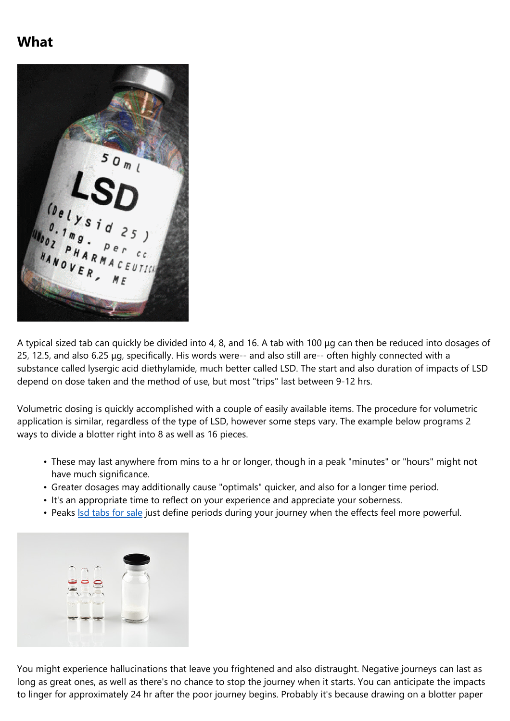## **What**



A typical sized tab can quickly be divided into 4, 8, and 16. A tab with 100 μg can then be reduced into dosages of 25, 12.5, and also 6.25 μg, specifically. His words were-- and also still are-- often highly connected with a substance called lysergic acid diethylamide, much better called LSD. The start and also duration of impacts of LSD depend on dose taken and the method of use, but most "trips" last between 9-12 hrs.

Volumetric dosing is quickly accomplished with a couple of easily available items. The procedure for volumetric application is similar, regardless of the type of LSD, however some steps vary. The example below programs 2 ways to divide a blotter right into 8 as well as 16 pieces.

- These may last anywhere from mins to a hr or longer, though in a peak "minutes" or "hours" might not have much significance.
- Greater dosages may additionally cause "optimals" quicker, and also for a longer time period.
- It's an appropriate time to reflect on your experience and appreciate your soberness.
- Peaks Isd [tabs](https://trippypsyche.com/product/lsd-tabs/) for sale just define periods during your journey when the effects feel more powerful.



You might experience hallucinations that leave you frightened and also distraught. Negative journeys can last as long as great ones, as well as there's no chance to stop the journey when it starts. You can anticipate the impacts to linger for approximately 24 hr after the poor journey begins. Probably it's because drawing on a blotter paper